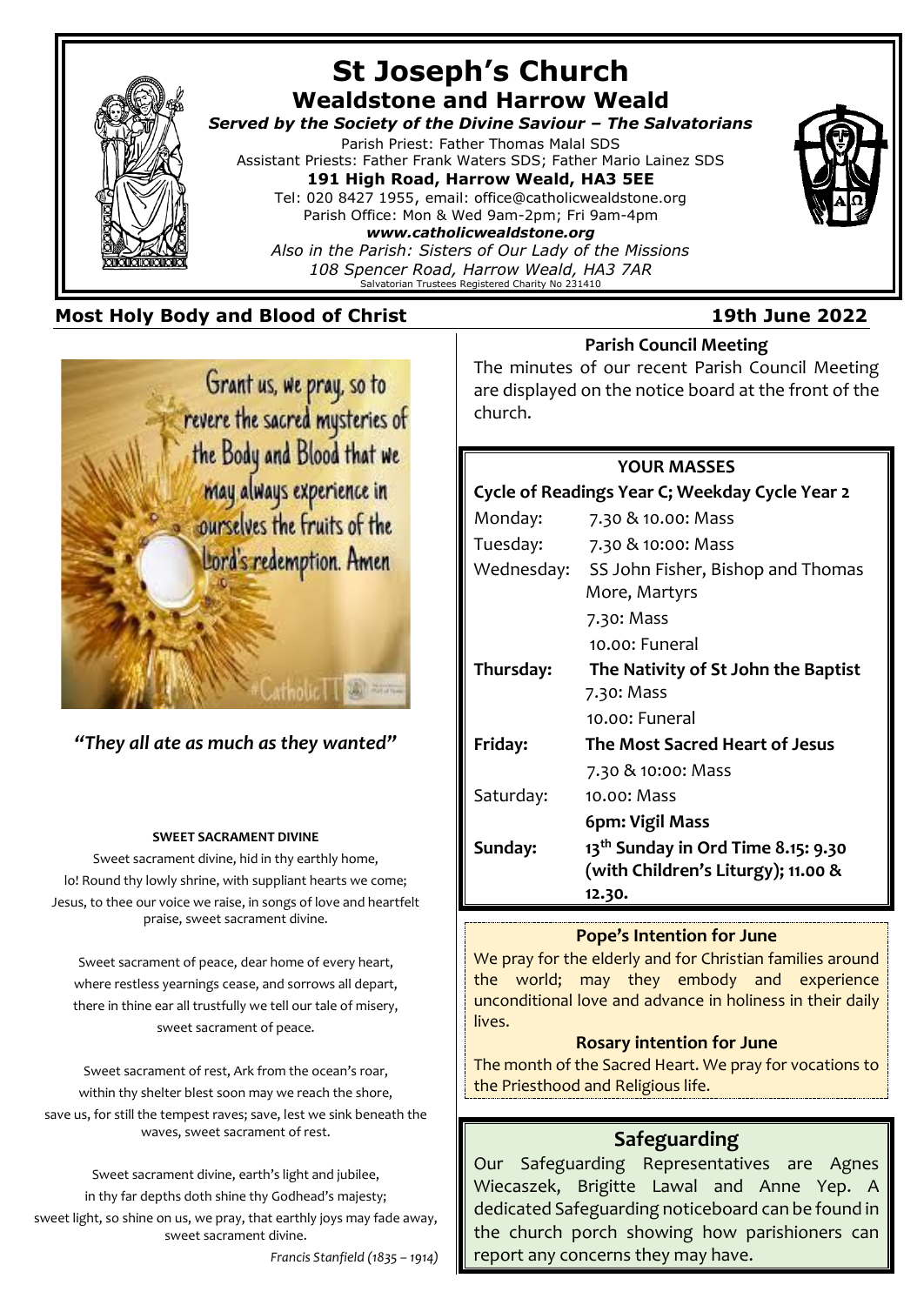

## **Most Holy Body and Blood of Christ 19th June 2022**



*"They all ate as much as they wanted"*

#### **SWEET SACRAMENT DIVINE**

Sweet sacrament divine, hid in thy earthly home, lo! Round thy lowly shrine, with suppliant hearts we come; Jesus, to thee our voice we raise, in songs of love and heartfelt praise, sweet sacrament divine.

Sweet sacrament of peace, dear home of every heart, where restless yearnings cease, and sorrows all depart, there in thine ear all trustfully we tell our tale of misery, sweet sacrament of peace.

Sweet sacrament of rest, Ark from the ocean's roar, within thy shelter blest soon may we reach the shore, save us, for still the tempest raves; save, lest we sink beneath the waves, sweet sacrament of rest.

Sweet sacrament divine, earth's light and jubilee, in thy far depths doth shine thy Godhead's majesty; sweet light, so shine on us, we pray, that earthly joys may fade away, sweet sacrament divine.

*Francis Stanfield (1835 – 1914)*

#### **Parish Council Meeting**

The minutes of our recent Parish Council Meeting are displayed on the notice board at the front of the church.

#### **YOUR MASSES**

| Cycle of Readings Year C; Weekday Cycle Year 2 |                                                |
|------------------------------------------------|------------------------------------------------|
| Monday:                                        | 7.30 & 10.00: Mass                             |
| Tuesday:                                       | 7.30 & 10:00: Mass                             |
| Wednesday:                                     | SS John Fisher, Bishop and Thomas              |
|                                                | More, Martyrs                                  |
|                                                | 7.30: Mass                                     |
|                                                | 10.00: Funeral                                 |
| Thursday:                                      | The Nativity of St John the Baptist            |
|                                                | 7.30: Mass                                     |
|                                                | 10.00: Funeral                                 |
| Friday:                                        | The Most Sacred Heart of Jesus                 |
|                                                | 7.30 & 10:00: Mass                             |
| Saturday:                                      | 10.00: Mass                                    |
|                                                | 6pm: Vigil Mass                                |
| Sunday:                                        | 13 <sup>th</sup> Sunday in Ord Time 8.15: 9.30 |
|                                                | (with Children's Liturgy); 11.00 &             |
|                                                | 12.30.                                         |

## **Pope's Intention for June**

We pray for the elderly and for Christian families around the world; may they embody and experience unconditional love and advance in holiness in their daily lives.

#### **Rosary intention for June**

The month of the Sacred Heart. We pray for vocations to the Priesthood and Religious life.

## **Safeguarding**

Our Safeguarding Representatives are Agnes Wiecaszek, Brigitte Lawal and Anne Yep. A dedicated Safeguarding noticeboard can be found in the church porch showing how parishioners can report any concerns they may have.